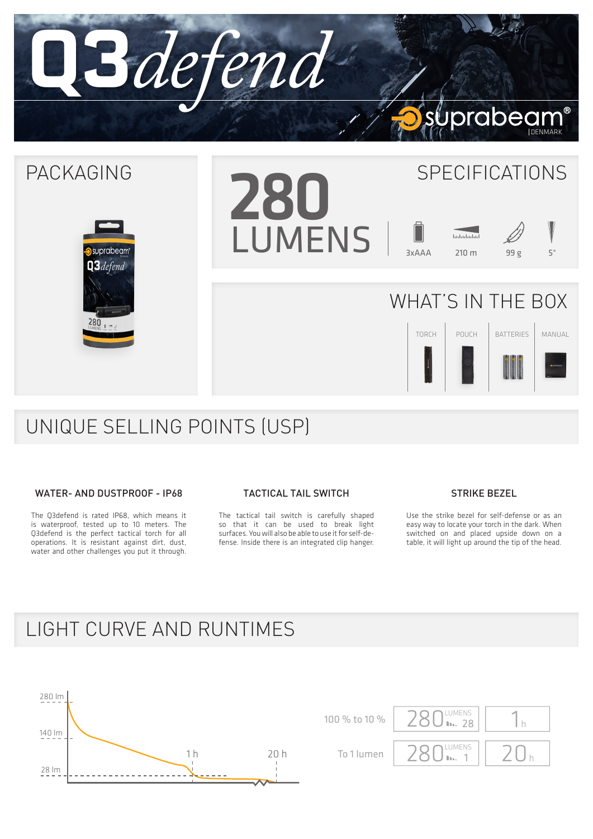

# UNIQUE SELLING POINTS (USP)

## WATER- AND DUSTPROOF - IP68

The Q3defend is rated IP68, which means it is waterproof, tested up to 10 meters. The Q3defend is the perfect tactical torch for all operations. It is resistant against dirt, dust, water and other challenges you put it through.

### TACTICAL TAIL SWITCH

The tactical tail switch is carefully shaped so that it can be used to break light surfaces. You will also be able to use it for self-defense. Inside there is an integrated clip hanger.

## STRIKE BEZEL

Use the strike bezel for self-defense or as an easy way to locate your torch in the dark. When switched on and placed upside down on a table, it will light up around the tip of the head.

## LIGHT CURVE AND RUNTIMES



LUMENS  $\vert$  20<sub>h</sub> 100 % to 10 %  $280$  MM  $28$  1 h